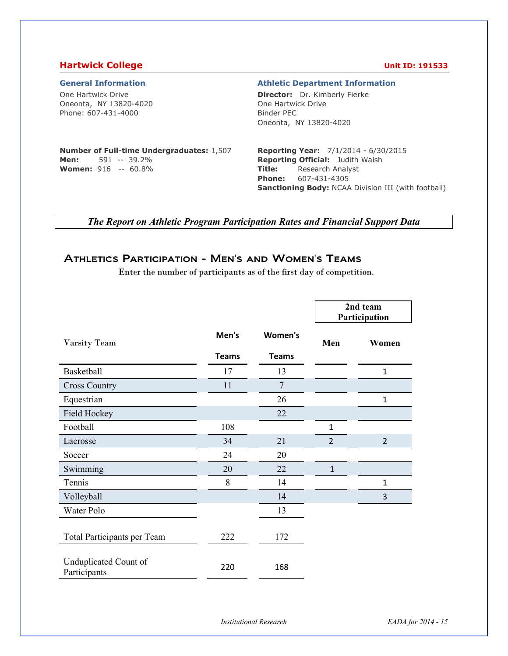## **Hartwick College Unit ID: 191533**

One Hartwick Drive Oneonta, NY 13820-4020 Phone: 607-431-4000

### **General Information Athletic Department Information**

**Director:** Dr. Kimberly Fierke One Hartwick Drive Binder PEC Oneonta, NY 13820-4020

### **Number of Full-time Undergraduates:** 1,507 **Men:** 591 -- 39.2% **Women:** 916 -- 60.8%

**Reporting Year:** 7/1/2014 - 6/30/2015 **Reporting Official:** Judith Walsh **Title:** Research Analyst **Phone:** 607-431-4305 **Sanctioning Body:** NCAA Division III (with football)

*The Report on Athletic Program Participation Rates and Financial Support Data* 

## Athletics Participation - Men's and Women's Teams

Enter the number of participants as of the first day of competition.

|                                       |              |                |                | 2nd team<br>Participation |
|---------------------------------------|--------------|----------------|----------------|---------------------------|
| Varsity Team                          | Men's        | Women's        | Men            | Women                     |
|                                       | <b>Teams</b> | <b>Teams</b>   |                |                           |
| Basketball                            | 17           | 13             |                | 1                         |
| <b>Cross Country</b>                  | 11           | $\overline{7}$ |                |                           |
| Equestrian                            |              | 26             |                | $\mathbf{1}$              |
| Field Hockey                          |              | 22             |                |                           |
| Football                              | 108          |                | $\mathbf{1}$   |                           |
| Lacrosse                              | 34           | 21             | $\overline{2}$ | $\overline{2}$            |
| Soccer                                | 24           | 20             |                |                           |
| Swimming                              | 20           | 22             | $\mathbf{1}$   |                           |
| Tennis                                | 8            | 14             |                | $\mathbf{1}$              |
| Volleyball                            |              | 14             |                | 3                         |
| Water Polo                            |              | 13             |                |                           |
| Total Participants per Team           | 222          | 172            |                |                           |
| Unduplicated Count of<br>Participants | 220          | 168            |                |                           |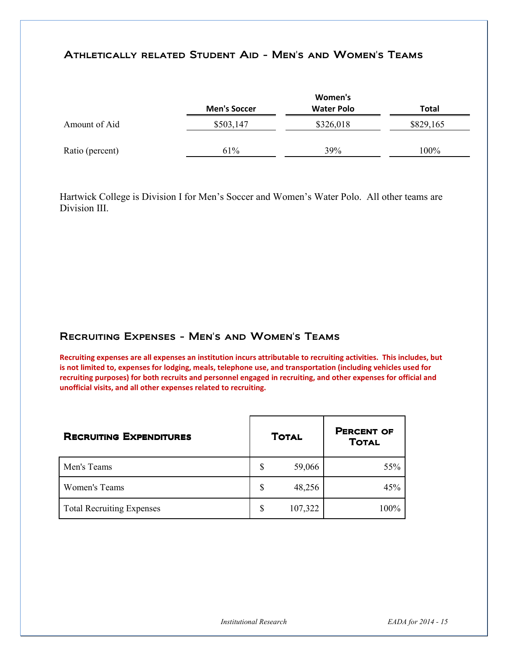## Athletically related Student Aid - Men's and Women's Teams

|                 |                     | Women's           |              |
|-----------------|---------------------|-------------------|--------------|
|                 | <b>Men's Soccer</b> | <b>Water Polo</b> | <b>Total</b> |
| Amount of Aid   | \$503,147           | \$326,018         | \$829,165    |
| Ratio (percent) | 61%                 | 39%               | 100%         |

Hartwick College is Division I for Men's Soccer and Women's Water Polo. All other teams are Division III.

## Recruiting Expenses - Men's and Women's Teams

**Recruiting expenses are all expenses an institution incurs attributable to recruiting activities. This includes, but is not limited to, expenses for lodging, meals, telephone use, and transportation (including vehicles used for recruiting purposes) for both recruits and personnel engaged in recruiting, and other expenses for official and unofficial visits, and all other expenses related to recruiting.** 

| <b>RECRUITING EXPENDITURES</b>   |   | <b>TOTAL</b> | <b>PERCENT OF</b><br><b>TOTAL</b> |
|----------------------------------|---|--------------|-----------------------------------|
| Men's Teams                      | S | 59,066       | 55%                               |
| Women's Teams                    | S | 48,256       | 45%                               |
| <b>Total Recruiting Expenses</b> | S | 107,322      | 100%                              |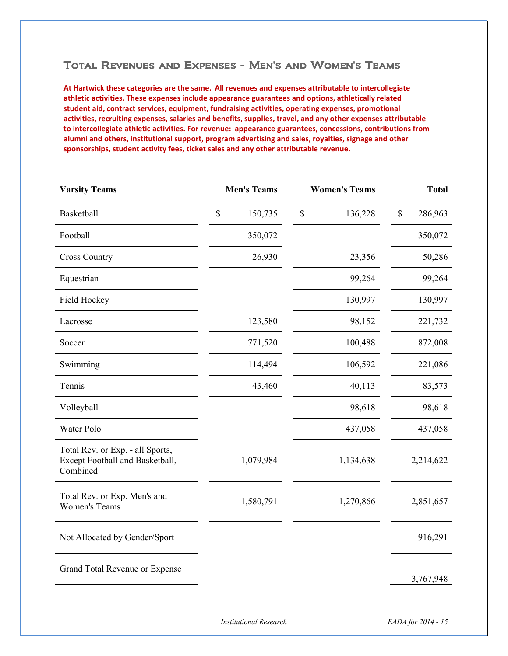## Total Revenues and Expenses - Men's and Women's Teams

**At Hartwick these categories are the same. All revenues and expenses attributable to intercollegiate athletic activities. These expenses include appearance guarantees and options, athletically related student aid, contract services, equipment, fundraising activities, operating expenses, promotional activities, recruiting expenses, salaries and benefits, supplies, travel, and any other expenses attributable to intercollegiate athletic activities. For revenue: appearance guarantees, concessions, contributions from alumni and others, institutional support, program advertising and sales, royalties, signage and other sponsorships, student activity fees, ticket sales and any other attributable revenue.**

| <b>Varsity Teams</b>                                                            | <b>Men's Teams</b> |           |      | <b>Women's Teams</b> | <b>Total</b> |           |
|---------------------------------------------------------------------------------|--------------------|-----------|------|----------------------|--------------|-----------|
| Basketball                                                                      | $\$$               | 150,735   | $\$$ | 136,228              | $\$$         | 286,963   |
| Football                                                                        |                    | 350,072   |      |                      |              | 350,072   |
| <b>Cross Country</b>                                                            |                    | 26,930    |      | 23,356               |              | 50,286    |
| Equestrian                                                                      |                    |           |      | 99,264               |              | 99,264    |
| Field Hockey                                                                    |                    |           |      | 130,997              |              | 130,997   |
| Lacrosse                                                                        |                    | 123,580   |      | 98,152               |              | 221,732   |
| Soccer                                                                          |                    | 771,520   |      | 100,488              |              | 872,008   |
| Swimming                                                                        |                    | 114,494   |      | 106,592              |              | 221,086   |
| Tennis                                                                          |                    | 43,460    |      | 40,113               |              | 83,573    |
| Volleyball                                                                      |                    |           |      | 98,618               |              | 98,618    |
| Water Polo                                                                      |                    |           |      | 437,058              |              | 437,058   |
| Total Rev. or Exp. - all Sports,<br>Except Football and Basketball,<br>Combined |                    | 1,079,984 |      | 1,134,638            |              | 2,214,622 |
| Total Rev. or Exp. Men's and<br><b>Women's Teams</b>                            |                    | 1,580,791 |      | 1,270,866            |              | 2,851,657 |
| Not Allocated by Gender/Sport                                                   |                    |           |      |                      |              | 916,291   |
| Grand Total Revenue or Expense                                                  |                    |           |      |                      |              | 3,767,948 |
|                                                                                 |                    |           |      |                      |              |           |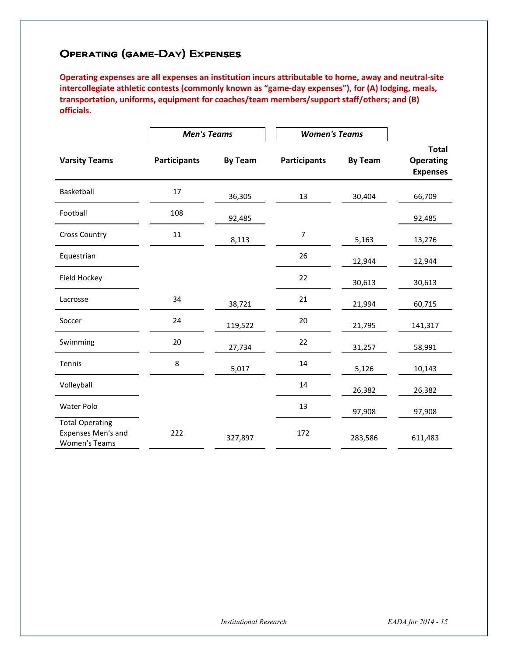# Operating (game-Day) Expenses

**Operating expenses are all expenses an institution incurs attributable to home, away and neutral-site intercollegiate athletic contests (commonly known as "game-day expenses"), for (A) lodging, meals, transportation, uniforms, equipment for coaches/team members/support staff/others; and (B) officials.** 

|                                                                             | <b>Men's Teams</b>  |                | <b>Women's Teams</b> |                |                                                     |
|-----------------------------------------------------------------------------|---------------------|----------------|----------------------|----------------|-----------------------------------------------------|
| <b>Varsity Teams</b>                                                        | <b>Participants</b> | <b>By Team</b> | <b>Participants</b>  | <b>By Team</b> | <b>Total</b><br><b>Operating</b><br><b>Expenses</b> |
| Basketball                                                                  | 17                  | 36,305         | 13                   | 30,404         | 66,709                                              |
| Football                                                                    | 108                 | 92,485         |                      |                | 92,485                                              |
| <b>Cross Country</b>                                                        | 11                  | 8,113          | 7                    | 5,163          | 13,276                                              |
| Equestrian                                                                  |                     |                | 26                   | 12,944         | 12,944                                              |
| Field Hockey                                                                |                     |                | 22                   | 30,613         | 30,613                                              |
| Lacrosse                                                                    | 34                  | 38,721         | 21                   | 21,994         | 60,715                                              |
| Soccer                                                                      | 24                  | 119,522        | 20                   | 21,795         | 141,317                                             |
| Swimming                                                                    | 20                  | 27,734         | 22                   | 31,257         | 58,991                                              |
| Tennis                                                                      | 8                   | 5,017          | 14                   | 5,126          | 10,143                                              |
| Volleyball                                                                  |                     |                | 14                   | 26,382         | 26,382                                              |
| Water Polo                                                                  |                     |                | 13                   | 97,908         | 97,908                                              |
| <b>Total Operating</b><br><b>Expenses Men's and</b><br><b>Women's Teams</b> | 222                 | 327,897        | 172                  | 283,586        | 611,483                                             |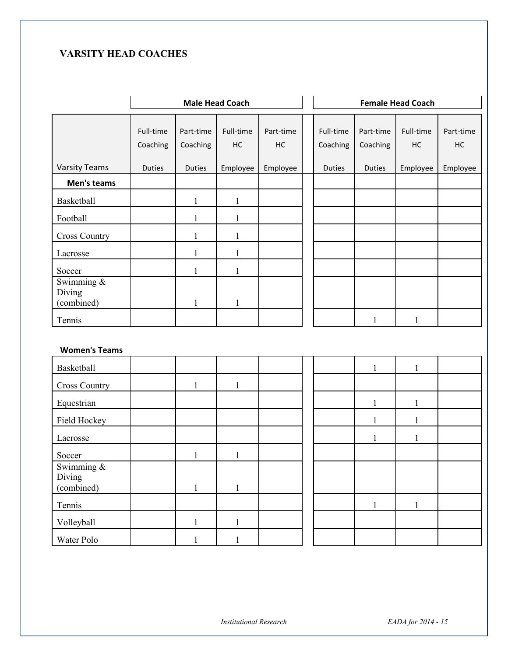# **VARSITY HEAD COACHES**

|                                    | <b>Male Head Coach</b> |                       |                 |                 |  |                       |                       | <b>Female Head Coach</b> |                 |
|------------------------------------|------------------------|-----------------------|-----------------|-----------------|--|-----------------------|-----------------------|--------------------------|-----------------|
|                                    | Full-time<br>Coaching  | Part-time<br>Coaching | Full-time<br>HC | Part-time<br>HC |  | Full-time<br>Coaching | Part-time<br>Coaching | Full-time<br>HC          | Part-time<br>HC |
| <b>Varsity Teams</b>               | Duties                 | <b>Duties</b>         | Employee        | Employee        |  | Duties                | <b>Duties</b>         | Employee                 | Employee        |
| Men's teams                        |                        |                       |                 |                 |  |                       |                       |                          |                 |
| Basketball                         |                        | $\mathbf{1}$          | $\mathbf{1}$    |                 |  |                       |                       |                          |                 |
| Football                           |                        | $\mathbf{1}$          | $\mathbf{1}$    |                 |  |                       |                       |                          |                 |
| <b>Cross Country</b>               |                        | $\mathbf{1}$          | $\mathbf{1}$    |                 |  |                       |                       |                          |                 |
| Lacrosse                           |                        | $\mathbf{1}$          | $\mathbf{1}$    |                 |  |                       |                       |                          |                 |
| Soccer                             |                        | $\mathbf{1}$          | $\mathbf{1}$    |                 |  |                       |                       |                          |                 |
| Swimming &<br>Diving<br>(combined) |                        | $\mathbf{1}$          | $\mathbf{1}$    |                 |  |                       |                       |                          |                 |
| Tennis                             |                        |                       |                 |                 |  |                       | 1                     | 1                        |                 |
| <b>Women's Teams</b>               |                        |                       |                 |                 |  |                       |                       |                          |                 |
| Basketball                         |                        |                       |                 |                 |  |                       | $\mathbf{1}$          | $\mathbf{1}$             |                 |
| Cross Country                      |                        | $\mathbf{1}$          | 1               |                 |  |                       |                       |                          |                 |
| Equestrian                         |                        |                       |                 |                 |  |                       | $\mathbf{1}$          | 1                        |                 |
| Field Hockey                       |                        |                       |                 |                 |  |                       | 1                     | 1                        |                 |
| Lacrosse                           |                        |                       |                 |                 |  |                       | $\mathbf{1}$          | 1                        |                 |
| Soccer                             |                        | $\mathbf{1}$          | $\mathbf{1}$    |                 |  |                       |                       |                          |                 |
| Swimming &<br>Diving<br>(combined) |                        | $\mathbf{1}$          | $\mathbf{1}$    |                 |  |                       |                       |                          |                 |
| Tennis                             |                        |                       |                 |                 |  |                       | $\mathbf{1}$          | $\mathbf{1}$             |                 |
| Volleyball                         |                        | $\mathbf{1}$          | $\mathbf{1}$    |                 |  |                       |                       |                          |                 |
| Water Polo                         |                        | $\,1$                 | $\mathbf{1}$    |                 |  |                       |                       |                          |                 |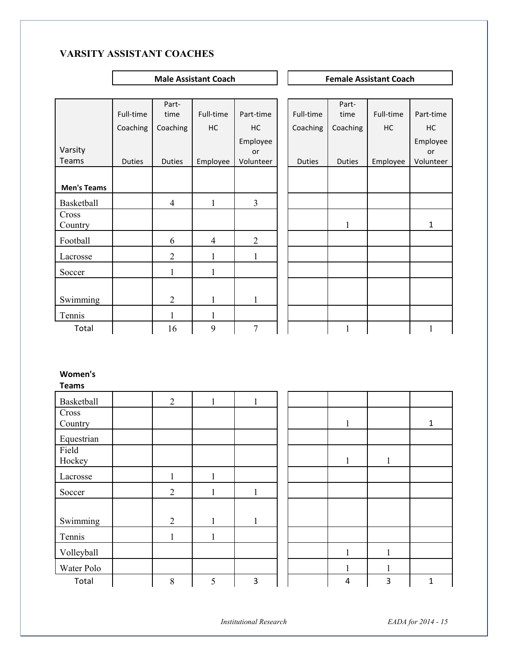# **VARSITY ASSISTANT COACHES**

**Male Assistant Coach Coach Remale Assistant Coach Coach Remale Assistant Coach** 

|                    |               | Part-          |                |                |               | Part-         |           |              |
|--------------------|---------------|----------------|----------------|----------------|---------------|---------------|-----------|--------------|
|                    | Full-time     | time           | Full-time      | Part-time      | Full-time     | time          | Full-time | Part-time    |
|                    | Coaching      | Coaching       | HC             | HC             | Coaching      | Coaching      | HC        | HC           |
|                    |               |                |                | Employee       |               |               |           | Employee     |
| Varsity            |               |                |                | <b>or</b>      |               |               |           | or           |
| Teams              | <b>Duties</b> | <b>Duties</b>  | Employee       | Volunteer      | <b>Duties</b> | <b>Duties</b> | Employee  | Volunteer    |
|                    |               |                |                |                |               |               |           |              |
| <b>Men's Teams</b> |               |                |                |                |               |               |           |              |
| Basketball         |               | $\overline{4}$ | $\mathbf{1}$   | 3              |               |               |           |              |
| Cross<br>Country   |               |                |                |                |               | 1             |           | $\mathbf{1}$ |
| Football           |               | 6              | $\overline{4}$ | $\overline{2}$ |               |               |           |              |
| Lacrosse           |               | $\overline{2}$ | 1              | 1              |               |               |           |              |
| Soccer             |               |                |                |                |               |               |           |              |
|                    |               |                |                |                |               |               |           |              |
| Swimming           |               | $\overline{2}$ |                | 1              |               |               |           |              |
| Tennis             |               |                |                |                |               |               |           |              |
| Total              |               | 16             | 9              | 7              |               |               |           | 1            |

## **Women's**

**Teams**

| .                |                |              |              |  |              |              |   |
|------------------|----------------|--------------|--------------|--|--------------|--------------|---|
| Basketball       | $\overline{2}$ |              | $\mathbf{1}$ |  |              |              |   |
| Cross<br>Country |                |              |              |  | $\mathbf{1}$ |              | 1 |
| Equestrian       |                |              |              |  |              |              |   |
| Field<br>Hockey  |                |              |              |  | 1            | $\mathbf{1}$ |   |
| Lacrosse         |                |              |              |  |              |              |   |
| Soccer           | $\overline{2}$ |              | $\mathbf{1}$ |  |              |              |   |
| Swimming         | $\overline{2}$ | 1            | $\mathbf{1}$ |  |              |              |   |
| Tennis           | 1              | $\mathbf{1}$ |              |  |              |              |   |
| Volleyball       |                |              |              |  |              | 1            |   |
| Water Polo       |                |              |              |  |              |              |   |
| Total            | $\,$ $\,$      | 5            | 3            |  | 4            | 3            | 1 |